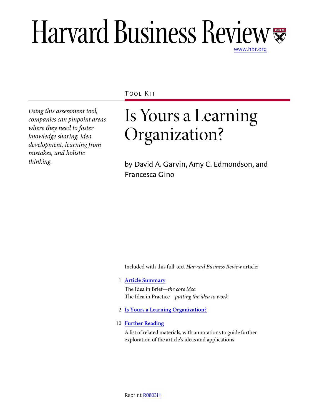## Harvard Business Review [www.hbr.org](http://www.hbr.org)

TOOL KIT

*Using this assessment tool, companies can pinpoint areas where they need to foster knowledge sharing, idea development, learning from mistakes, and holistic thinking.*

# Is Yours a Learning Organization?

by David A. Garvin, Amy C. Edmondson, and Francesca Gino

Included with this full-text *Harvard Business Review* article:

1 **[Article Summary](#page-1-0)**

The Idea in Brief—*the core idea* The Idea in Practice—*putting the idea to work*

2 **[Is Yours a Learning Organization?](#page-2-0)**

### 10 **[Further Reading](#page-10-0)**

A list of related materials, with annotations to guide further exploration of the article's ideas and applications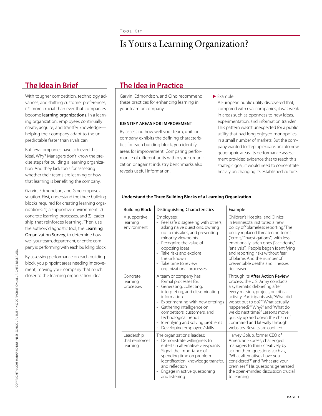## Is Yours a Learning Organization?

<span id="page-1-0"></span>With tougher competition, technology advances, and shifting customer preferences, it's more crucial than ever that companies become learning organizations. In a learning organization, employees continually create, acquire, and transfer knowledge helping their company adapt to the unpredictable faster than rivals can.

But few companies have achieved this ideal. Why? Managers don't know the precise steps for building a learning organization. And they lack tools for assessing whether their teams are learning or how that learning is benefiting the company.

Garvin, Edmondson, and Gino propose a solution. First, understand the three building blocks required for creating learning organizations: 1) a supportive environment, 2) concrete learning processes, and 3) leadership that reinforces learning. Then use the authors' diagnostic tool, the Learning Organization Survey, to determine how well your team, department, or entire company is performing with each building block.

By assessing performance on each building block, you pinpoint areas needing improvement, moving your company that much closer to the learning organization ideal.

### **The Idea in Brief The Idea in Practice**

Garvin, Edmondson, and Gino recommend these practices for enhancing learning in your team or company.

#### **IDENTIFY AREAS FOR IMPROVEMENT**

By assessing how well your team, unit, or company exhibits the defining characteristics for each building block, you identify areas for improvement. Comparing performance of different units within your organization or against industry benchmarks also reveals useful information.

#### Example:

A European public utility discovered that, compared with rival companies, it was weak in areas such as openness to new ideas, experimentation, and information transfer. This pattern wasn't unexpected for a public utility that had long enjoyed monopolies in a small number of markets. But the company wanted to step up expansion into new geographic areas. Its performance assessment provided evidence that to reach this strategic goal, it would need to concentrate heavily on changing its established culture.

| <b>Building Block</b>                     | <b>Distinguishing Characteristics</b>                                                                                                                                                                                                                                                                                   | Example                                                                                                                                                                                                                                                                                                                                                                                            |
|-------------------------------------------|-------------------------------------------------------------------------------------------------------------------------------------------------------------------------------------------------------------------------------------------------------------------------------------------------------------------------|----------------------------------------------------------------------------------------------------------------------------------------------------------------------------------------------------------------------------------------------------------------------------------------------------------------------------------------------------------------------------------------------------|
| A supportive<br>learning<br>environment   | Employees:<br>Feel safe disagreeing with others,<br>asking naive questions, owning<br>up to mistakes, and presenting<br>minority viewpoints<br>Recognize the value of<br>opposing ideas<br>• Take risks and explore<br>the unknown<br>Take time to review<br>organizational processes                                   | Children's Hospital and Clinics<br>in Minnesota instituted a new<br>policy of "blameless reporting." The<br>policy replaced threatening terms<br>("errors,""investigations") with less<br>emotionally laden ones ("accidents,"<br>"analysis"). People began identifying<br>and reporting risks without fear<br>of blame. And the number of<br>preventable deaths and illnesses<br>decreased.       |
| Concrete<br>learning<br>processes         | A team or company has<br>formal processes for:<br>Generating, collecting,<br>interpreting, and disseminating<br>information<br>Experimenting with new offerings<br>Gathering intelligence on<br>competitors, customers, and<br>technological trends<br>Identifying and solving problems<br>Developing employees' skills | Through its After Action Review<br>process, the U.S. Army conducts<br>a systematic debriefing after<br>every mission, project, or critical<br>activity. Participants ask, "What did<br>we set out to do?""What actually<br>happened?""Why?" and "What do<br>we do next time?" Lessons move<br>quickly up and down the chain of<br>command and laterally through<br>websites. Results are codified. |
| Leadership<br>that reinforces<br>learning | The organization's leaders:<br>Demonstrate willingness to<br>entertain alternative viewpoints<br>Signal the importance of<br>$\bullet$<br>spending time on problem<br>identification, knowledge transfer,<br>and reflection<br>Engage in active questioning<br>and listening                                            | Harvey Golub, former CEO of<br>American Express, challenged<br>managers to think creatively by<br>asking them questions such as,<br>"What alternatives have you<br>considered?" and "What are your<br>premises?" His questions generated<br>the open-minded discussion crucial<br>to learning.                                                                                                     |

#### **Understand the Three Building Blocks of a Learning Organization**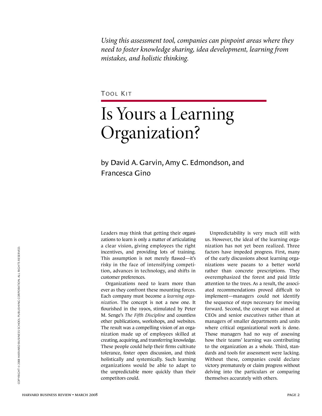*Using this assessment tool, companies can pinpoint areas where they need to foster knowledge sharing, idea development, learning from mistakes, and holistic thinking.*

TOOL KIT

# Is Yours a Learning Organization?

by David A. Garvin, Amy C. Edmondson, and Francesca Gino

<span id="page-2-0"></span>Leaders may think that getting their organizations to learn is only a matter of articulating a clear vision, giving employees the right incentives, and providing lots of training. This assumption is not merely flawed—it's risky in the face of intensifying competition, advances in technology, and shifts in customer preferences.

Organizations need to learn more than ever as they confront these mounting forces. Each company must become a *learning organization*. The concept is not a new one. It flourished in the 1990s, stimulated by Peter M. Senge's *The Fifth Discipline* and countless other publications, workshops, and websites. The result was a compelling vision of an organization made up of employees skilled at creating, acquiring, and transferring knowledge. These people could help their firms cultivate tolerance, foster open discussion, and think holistically and systemically. Such learning organizations would be able to adapt to the unpredictable more quickly than their competitors could.

Unpredictability is very much still with us. However, the ideal of the learning organization has not yet been realized. Three factors have impeded progress. First, many of the early discussions about learning organizations were paeans to a better world rather than concrete prescriptions. They overemphasized the forest and paid little attention to the trees. As a result, the associated recommendations proved difficult to implement—managers could not identify the sequence of steps necessary for moving forward. Second, the concept was aimed at CEOs and senior executives rather than at managers of smaller departments and units where critical organizational work is done. Those managers had no way of assessing how their teams' learning was contributing to the organization as a whole. Third, standards and tools for assessment were lacking. Without these, companies could declare victory prematurely or claim progress without delving into the particulars or comparing themselves accurately with others.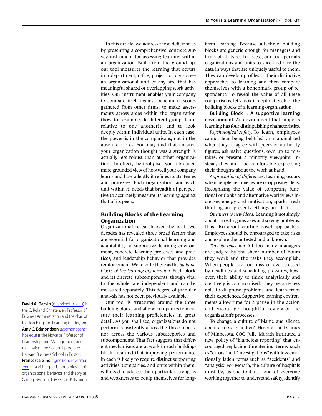In this article, we address these deficiencies by presenting a comprehensive, concrete survey instrument for assessing learning within an organization. Built from the ground up, our tool measures the learning that occurs in a department, office, project, or division an organizational unit of any size that has meaningful shared or overlapping work activities. Our instrument enables your company to compare itself against benchmark scores gathered from other firms; to make assessments across areas within the organization (how, for, example, do different groups learn relative to one another?); and to look deeply within individual units. In each case, the power is in the comparisons, not in the absolute scores. You may find that an area your organization thought was a strength is actually less robust than at other organizations. In effect, the tool gives you a broader, more grounded view of how well your company learns and how adeptly it refines its strategies and processes. Each organization, and each unit within it, needs that breadth of perspective to accurately measure its learning against that of its peers.

#### **Building Blocks of the Learning Organization**

Organizational research over the past two decades has revealed three broad factors that are essential for organizational learning and adaptability: a supportive learning environment, concrete learning processes and practices, and leadership behavior that provides reinforcement. We refer to these as the *building blocks of the learning organization*. Each block and its discrete subcomponents, though vital to the whole, are independent and can be measured separately. This degree of granular analysis has not been previously available.

Our tool is structured around the three building blocks and allows companies to measure their learning proficiencies in great detail. As you shall see, organizations do not perform consistently across the three blocks, nor across the various subcategories and subcomponents. That fact suggests that different mechanisms are at work in each buildingblock area and that improving performance in each is likely to require distinct supporting activities. Companies, and units within them, will need to address their particular strengths and weaknesses to equip themselves for longterm learning. Because all three building blocks are generic enough for managers and firms of all types to assess, our tool permits organizations and units to slice and dice the data in ways that are uniquely useful to them. They can develop profiles of their distinctive approaches to learning and then compare themselves with a benchmark group of respondents. To reveal the value of all these comparisons, let's look in depth at each of the building blocks of a learning organization.

**Building Block 1: A supportive learning environment.** An environment that supports learning has four distinguishing characteristics.

*Psychological safety.* To learn, employees cannot fear being belittled or marginalized when they disagree with peers or authority figures, ask naive questions, own up to mistakes, or present a minority viewpoint. Instead, they must be comfortable expressing their thoughts about the work at hand.

*Appreciation of differences.* Learning occurs when people become aware of opposing ideas. Recognizing the value of competing functional outlooks and alternative worldviews increases energy and motivation, sparks fresh thinking, and prevents lethargy and drift.

*Openness to new ideas.* Learning is not simply about correcting mistakes and solving problems. It is also about crafting novel approaches. Employees should be encouraged to take risks and explore the untested and unknown.

*Time for reflection.* All too many managers are judged by the sheer number of hours they work and the tasks they accomplish. When people are too busy or overstressed by deadlines and scheduling pressures, however, their ability to think analytically and creatively is compromised. They become less able to diagnose problems and learn from their experiences. Supportive learning environments allow time for a pause in the action and encourage thoughtful review of the organization's processes.

To change a culture of blame and silence about errors at Children's Hospitals and Clinics of Minnesota, COO Julie Morath instituted a new policy of "blameless reporting" that encouraged replacing threatening terms such as "errors" and "investigations" with less emotionally laden terms such as "accidents" and "analysis." For Morath, the culture of hospitals must be, as she told us, "one of everyone working together to understand safety, identify

**David A. Garvin** ([dgarvin@hbs.edu\)](mailto:dgarvin@hbs.edu) is the C. Roland Christensen Professor of Business Administration and the chair of the Teaching and Learning Center, and **Amy C. Edmondson** ([aedmondson@](mailto:aedmondson@hbs.edu) [hbs.edu](mailto:aedmondson@hbs.edu)) is the Novartis Professor of Leadership and Management and the chair of the doctoral programs, at Harvard Business School in Boston. **Francesca Gino** [\(fgino@andrew.cmu](mailto:fgino@andrew.cmu.edu) [.edu](mailto:fgino@andrew.cmu.edu)) is a visiting assistant professor of organizational behavior and theory at Carnegie Mellon University in Pittsburgh.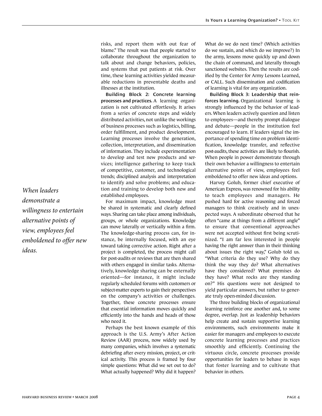risks, and report them with out fear of blame." The result was that people started to collaborate throughout the organization to talk about and change behaviors, policies, and systems that put patients at risk. Over time, these learning activities yielded measurable reductions in preventable deaths and illnesses at the institution.

**Building Block 2: Concrete learning processes and practices.** A learning organization is not cultivated effortlessly. It arises from a series of concrete steps and widely distributed activities, not unlike the workings of business processes such as logistics, billing, order fulfillment, and product development. Learning processes involve the generation, collection, interpretation, and dissemination of information. They include experimentation to develop and test new products and services; intelligence gathering to keep track of competitive, customer, and technological trends; disciplined analysis and interpretation to identify and solve problems; and education and training to develop both new and established employees.

For maximum impact, knowledge must be shared in systematic and clearly defined ways. Sharing can take place among individuals, groups, or whole organizations. Knowledge can move laterally or vertically within a firm. The knowledge-sharing process can, for instance, be internally focused, with an eye toward taking corrective action. Right after a project is completed, the process might call for post-audits or reviews that are then shared with others engaged in similar tasks. Alternatively, knowledge sharing can be externally oriented—for instance, it might include regularly scheduled forums with customers or subject-matter experts to gain their perspectives on the company's activities or challenges. Together, these concrete processes ensure that essential information moves quickly and efficiently into the hands and heads of those who need it.

Perhaps the best known example of this approach is the U.S. Army's After Action Review (AAR) process, now widely used by many companies, which involves a systematic debriefing after every mission, project, or critical activity. This process is framed by four simple questions: What did we set out to do? What actually happened? Why did it happen? What do we do next time? (Which activities do we sustain, and which do we improve?) In the army, lessons move quickly up and down the chain of command, and laterally through sanctioned websites. Then the results are codified by the Center for Army Lessons Learned, or CALL. Such dissemination and codification of learning is vital for any organization.

**Building Block 3: Leadership that reinforces learning.** Organizational learning is strongly influenced by the behavior of leaders. When leaders actively question and listen to employees—and thereby prompt dialogue and debate—people in the institution feel encouraged to learn. If leaders signal the importance of spending time on problem identification, knowledge transfer, and reflective post-audits, these activities are likely to flourish. When people in power demonstrate through their own behavior a willingness to entertain alternative points of view, employees feel emboldened to offer new ideas and options.

Harvey Golub, former chief executive of American Express, was renowned for his ability to teach employees and managers. He pushed hard for active reasoning and forced managers to think creatively and in unexpected ways. A subordinate observed that he often "came at things from a different angle" to ensure that conventional approaches were not accepted without first being scrutinized. "I am far less interested in people having the right answer than in their thinking about issues the right way," Golub told us. "What criteria do they use? Why do they think the way they do? What alternatives have they considered? What premises do they have? What rocks are they standing on?" His questions were not designed to yield particular answers, but rather to generate truly open-minded discussion.

The three building blocks of organizational learning reinforce one another and, to some degree, overlap. Just as leadership behaviors help create and sustain supportive learning environments, such environments make it easier for managers and employees to execute concrete learning processes and practices smoothly and efficiently. Continuing the virtuous circle, concrete processes provide opportunities for leaders to behave in ways that foster learning and to cultivate that behavior in others.

*When leaders demonstrate a willingness to entertain alternative points of view, employees feel emboldened to offer new ideas.*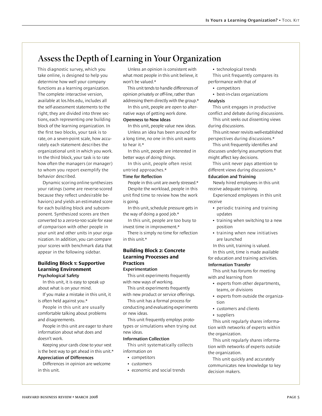## **Assess the Depth of Learning in Your Organization**

This diagnostic survey, which you take online, is designed to help you determine how well your company functions as a learning organization. The complete interactive version, available at los.hbs.edu, includes all the self-assessment statements to the right; they are divided into three sections, each representing one building block of the learning organization. In the first two blocks, your task is to rate, on a seven-point scale, how accurately each statement describes the organizational unit in which you work. In the third block, your task is to rate how often the managers (or manager) to whom you report exemplify the behavior described.

Dynamic scoring online synthesizes your ratings (some are reverse-scored because they reflect undesirable behaviors) and yields an estimated score for each building block and subcomponent. Synthesized scores are then converted to a zero-to-100 scale for ease of comparison with other people in your unit and other units in your organization. In addition, you can compare your scores with benchmark data that appear in the following sidebar.

#### **Building Block 1: Supportive Learning Environment Psychological Safety**

In this unit, it is easy to speak up about what is on your mind.

If you make a mistake in this unit, it is often held against you.\*

People in this unit are usually comfortable talking about problems and disagreements.

People in this unit are eager to share information about what does and doesn't work.

Keeping your cards close to your vest is the best way to get ahead in this unit.\*

#### **Appreciation of Differences**

Differences in opinion are welcome in this unit.

Unless an opinion is consistent with what most people in this unit believe, it won't be valued.\*

This unit tends to handle differences of opinion privately or off-line, rather than addressing them directly with the group.\*

In this unit, people are open to alternative ways of getting work done.

#### **Openness to New Ideas**

In this unit, people value new ideas. Unless an idea has been around for a long time, no one in this unit wants to hear it.\*

In this unit, people are interested in better ways of doing things.

In this unit, people often resist untried approaches.\*

#### **Time for Reflection**

People in this unit are overly stressed.\* Despite the workload, people in this unit find time to review how the work is going.

In this unit, schedule pressure gets in the way of doing a good job.\*

In this unit, people are too busy to invest time in improvement.\*

There is simply no time for reflection in this unit.\*

#### **Building Block 2: Concrete Learning Processes and Practices**

#### **Experimentation**

This unit experiments frequently with new ways of working.

This unit experiments frequently with new product or service offerings.

This unit has a formal process for conducting and evaluating experiments

or new ideas.

This unit frequently employs prototypes or simulations when trying out new ideas.

#### **Information Collection**

This unit systematically collects information on

- **•** competitors
- **•** customers
- **•** economic and social trends

**•** technological trends

This unit frequently compares its performance with that of

- **•** competitors
- **•** best-in-class organizations

#### **Analysis**

This unit engages in productive conflict and debate during discussions.

This unit seeks out dissenting views during discussions.

This unit never revisits well-established perspectives during discussions.\*

This unit frequently identifies and discusses underlying assumptions that might affect key decisions.

This unit never pays attention to different views during discussions.\*

#### **Education and Training**

Newly hired employees in this unit receive adequate training.

Experienced employees in this unit receive

- **•** periodic training and training updates
- **•** training when switching to a new position
- **•** training when new initiatives are launched
- In this unit, training is valued.

In this unit, time is made available

#### for education and training activities. **Information Transfer**

This unit has forums for meeting

with and learning from

- **•** experts from other departments, teams, or divisions
- **•** experts from outside the organization
- **•** customers and clients
- **•** suppliers

This unit regularly shares information with networks of experts within the organization.

This unit regularly shares information with networks of experts outside the organization.

This unit quickly and accurately communicates new knowledge to key decision makers.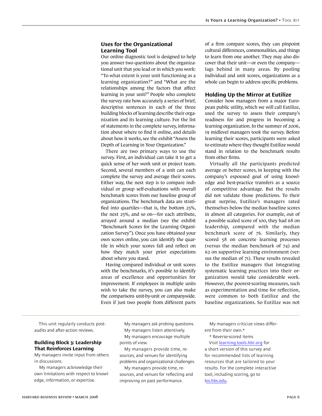#### **Uses for the Organizational Learning Tool**

Our online diagnostic tool is designed to help you answer two questions about the organizational unit that you lead or in which you work: "To what extent is your unit functioning as a learning organization?" and "What are the relationships among the factors that affect learning in your unit?" People who complete the survey rate how accurately a series of brief, descriptive sentences in each of the three building blocks of learning describe their organization and its learning culture. For the list of statements in the complete survey, information about where to find it online, and details about how it works, see the exhibit "Assess the Depth of Learning in Your Organization."

There are two primary ways to use the survey. First, an individual can take it to get a quick sense of her work unit or project team. Second, several members of a unit can each complete the survey and average their scores. Either way, the next step is to compare individual or group self-evaluations with overall benchmark scores from our baseline group of organizations. The benchmark data are stratified into quartiles—that is, the bottom 25%, the next 25%, and so on—for each attribute, arrayed around a median (see the exhibit "Benchmark Scores for the Learning Organization Survey"). Once you have obtained your own scores online, you can identify the quartile in which your scores fall and reflect on how they match your prior expectations about where you stand.

Having compared individual or unit scores with the benchmarks, it's possible to identify areas of excellence and opportunities for improvement. If employees in multiple units wish to take the survey, you can also make the comparisons unit-by-unit or companywide. Even if just two people from different parts of a firm compare scores, they can pinpoint cultural differences, commonalities, and things to learn from one another. They may also discover that their unit—or even the company lags behind in many areas. By pooling individual and unit scores, organizations as a whole can begin to address specific problems.

#### **Holding Up the Mirror at Eutilize**

Consider how managers from a major European public utility, which we will call Eutilize, used the survey to assess their company's readiness for and progress in becoming a learning organization. In the summer of 2006, 19 midlevel managers took the survey. Before learning their scores, participants were asked to estimate where they thought Eutilize would stand in relation to the benchmark results from other firms.

Virtually all the participants predicted average or better scores, in keeping with the company's espoused goal of using knowledge and best-practice transfers as a source of competitive advantage. But the results did not validate those predictions. To their great surprise, Eutilize's managers rated themselves below the median baseline scores in almost all categories. For example, out of a possible scaled score of 100, they had 68 on leadership, compared with the median benchmark score of 76. Similarly, they scored 58 on concrete learning processes (versus the median benchmark of 74) and 62 on supportive learning environment (versus the median of 71). These results revealed to the Eutilize managers that integrating systematic learning practices into their organization would take considerable work. However, the poorest-scoring measures, such as experimentation and time for reflection, were common to both Eutilize and the baseline organizations. So Eutilize was not

This unit regularly conducts postaudits and after-action reviews.

#### **Building Block 3: Leadership That Reinforces Learning**

My managers invite input from others in discussions.

My managers acknowledge their own limitations with respect to knowledge, information, or expertise.

My managers ask probing questions. My managers listen attentively.

My managers encourage multiple points of view.

My managers provide time, resources, and venues for identifying problems and organizational challenges.

My managers provide time, resources, and venues for reflecting and improving on past performance.

My managers criticize views different from their own.\*

\* Reverse-scored items Visit [learning.tools.hbr.org](http://learning.tools.hbr.org) for a short version of this survey and for recommended lists of learning resources that are tailored to your results. For the complete interactive tool, including scoring, go to l[os.hbs.edu.](http://los.hbs.edu)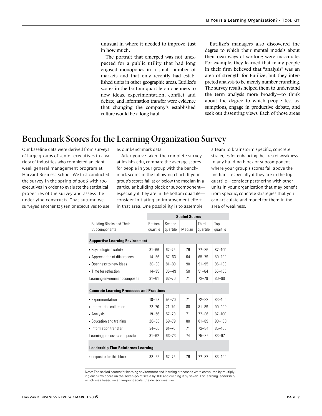unusual in where it needed to improve, just in how much.

The portrait that emerged was not unexpected for a public utility that had long enjoyed monopolies in a small number of markets and that only recently had established units in other geographic areas. Eutilize's scores in the bottom quartile on openness to new ideas, experimentation, conflict and debate, and information transfer were evidence that changing the company's established culture would be a long haul.

Eutilize's managers also discovered the degree to which their mental models about their own ways of working were inaccurate. For example, they learned that many people in their firm believed that "analysis" was an area of strength for Eutilize, but they interpreted analysis to be merely number crunching. The survey results helped them to understand the term analysis more broadly—to think about the degree to which people test assumptions, engage in productive debate, and seek out dissenting views. Each of those areas

## **Benchmark Scores for the Learning Organization Survey**

Our baseline data were derived from surveys of large groups of senior executives in a variety of industries who completed an eightweek general management program at Harvard Business School. We first conducted the survey in the spring of 2006 with 100 executives in order to evaluate the statistical properties of the survey and assess the underlying constructs. That autumn we surveyed another 125 senior executives to use as our benchmark data.

After you've taken the complete survey at los.hbs.edu, compare the average scores for people in your group with the benchmark scores in the following chart. If your group's scores fall at or below the median in a particular building block or subcomponent especially if they are in the bottom quartile consider initiating an improvement effort in that area. One possibility is to assemble

a team to brainstorm specific, concrete strategies for enhancing the area of weakness. In any building block or subcomponent where your group's scores fall above the median—especially if they are in the top quartile—consider partnering with other units in your organization that may benefit from specific, concrete strategies that you can articulate and model for them in the area of weakness.

|                                                   | <b>Scaled Scores</b>      |                    |        |                   |                 |  |  |
|---------------------------------------------------|---------------------------|--------------------|--------|-------------------|-----------------|--|--|
| <b>Building Blocks and Their</b><br>Subcomponents | <b>Bottom</b><br>quartile | Second<br>quartile | Median | Third<br>quartile | Top<br>quartile |  |  |
| <b>Supportive Learning Environment</b>            |                           |                    |        |                   |                 |  |  |
| • Psychological safety                            | $31 - 66$                 | $67 - 75$          | 76     | $77 - 86$         | $87 - 100$      |  |  |
| • Appreciation of differences                     | $14 - 56$                 | $57 - 63$          | 64     | $65 - 79$         | $80 - 100$      |  |  |
| • Openness to new ideas                           | $38 - 80$                 | $81 - 89$          | 90     | $91 - 95$         | $96 - 100$      |  |  |
| • Time for reflection                             | $14 - 35$                 | $36 - 49$          | 50     | $51 - 64$         | $65 - 100$      |  |  |
| Learning environment composite                    | $31 - 61$                 | $62 - 70$          | 71     | $72 - 79$         | $80 - 90$       |  |  |
| <b>Concrete Learning Processes and Practices</b>  |                           |                    |        |                   |                 |  |  |
| • Experimentation                                 | $18 - 53$                 | $54 - 70$          | 71     | $72 - 82$         | $83 - 100$      |  |  |
| • Information collection                          | $23 - 70$                 | $71 - 79$          | 80     | $81 - 89$         | $90 - 100$      |  |  |
| • Analysis                                        | $19 - 56$                 | $57 - 70$          | 71     | $72 - 86$         | $87 - 100$      |  |  |
| • Education and training                          | $26 - 68$                 | 69-79              | 80     | $81 - 89$         | $90 - 100$      |  |  |
| • Information transfer                            | $34 - 60$                 | $61 - 70$          | 71     | $72 - 84$         | $85 - 100$      |  |  |
| Learning processes composite                      | $31 - 62$                 | $63 - 73$          | 74     | $75 - 82$         | $83 - 97$       |  |  |
| <b>Leadership That Reinforces Learning</b>        |                           |                    |        |                   |                 |  |  |
| Composite for this block                          | $33 - 66$                 | $67 - 75$          | 76     | $77 - 82$         | $83 - 100$      |  |  |

Note: The scaled scores for learning environment and learning processes were computed by multiplying each raw score on the seven-point scale by 100 and dividing it by seven. For learning leadership, which was based on a five-point scale, the divisor was five.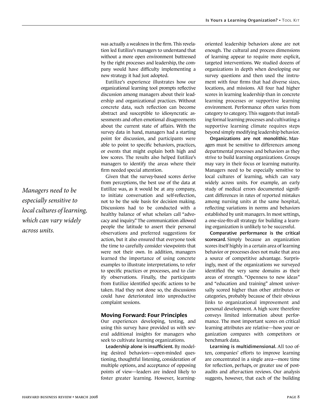was actually a weakness in the firm. This revelation led Eutilize's managers to understand that without a more open environment buttressed by the right processes and leadership, the company would have difficulty implementing a new strategy it had just adopted.

Eutilize's experience illustrates how our organizational learning tool prompts reflective discussion among managers about their leadership and organizational practices. Without concrete data, such reflection can become abstract and susceptible to idiosyncratic assessments and often emotional disagreements about the current state of affairs. With the survey data in hand, managers had a starting point for discussion, and participants were able to point to specific behaviors, practices, or events that might explain both high and low scores. The results also helped Eutilize's managers to identify the areas where their firm needed special attention.

Given that the survey-based scores derive from perceptions, the best use of the data at Eutilize was, as it would be at any company, to initiate conversation and self-reflection, not to be the sole basis for decision making. Discussions had to be conducted with a healthy balance of what scholars call "advocacy and inquiry." The communication allowed people the latitude to assert their personal observations and preferred suggestions for action, but it also ensured that everyone took the time to carefully consider viewpoints that were not their own. In addition, managers learned the importance of using concrete examples to illustrate interpretations, to refer to specific practices or processes, and to clarify observations. Finally, the participants from Eutilize identified specific actions to be taken. Had they not done so, the discussions could have deteriorated into unproductive complaint sessions.

#### **Moving Forward: Four Principles**

Our experiences developing, testing, and using this survey have provided us with several additional insights for managers who seek to cultivate learning organizations.

**Leadership alone is insufficient.** By modeling desired behaviors—open-minded questioning, thoughtful listening, consideration of multiple options, and acceptance of opposing points of view—leaders are indeed likely to foster greater learning. However, learningoriented leadership behaviors alone are not enough. The cultural and process dimensions of learning appear to require more explicit, targeted interventions. We studied dozens of organizations in depth when developing our survey questions and then used the instrument with four firms that had diverse sizes, locations, and missions. All four had higher scores in learning leadership than in concrete learning processes or supportive learning environment. Performance often varies from category to category. This suggests that installing formal learning processes and cultivating a supportive learning climate requires steps beyond simply modifying leadership behavior.

**Organizations are not monolithic.** Managers must be sensitive to differences among departmental processes and behaviors as they strive to build learning organizations. Groups may vary in their focus or learning maturity. Managers need to be especially sensitive to local cultures of learning, which can vary widely across units. For example, an early study of medical errors documented significant differences in rates of reported mistakes among nursing units at the same hospital, reflecting variations in norms and behaviors established by unit managers. In most settings, a one-size-fits-all strategy for building a learning organization is unlikely to be successful.

**Comparative performance is the critical scorecard.** Simply because an organization scores itself highly in a certain area of learning behavior or processes does not make that area a source of competitive advantage. Surprisingly, most of the organizations we surveyed identified the very same domains as their areas of strength. "Openness to new ideas" and "education and training" almost universally scored higher than other attributes or categories, probably because of their obvious links to organizational improvement and personal development. A high score therefore conveys limited information about performance. The most important scores on critical learning attributes are relative—how your organization compares with competitors or benchmark data.

**Learning is multidimensional.** All too often, companies' efforts to improve learning are concentrated in a single area—more time for reflection, perhaps, or greater use of postaudits and after-action reviews. Our analysis suggests, however, that each of the building

*Managers need to be especially sensitive to local cultures of learning, which can vary widely across units.*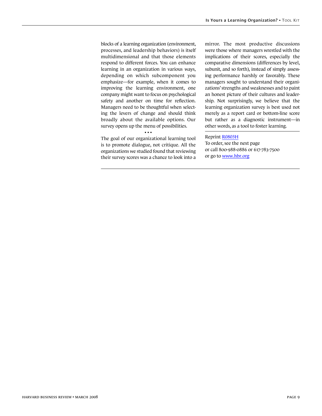blocks of a learning organization (environment, processes, and leadership behaviors) is itself multidimensional and that those elements respond to different forces. You can enhance learning in an organization in various ways, depending on which subcomponent you emphasize—for example, when it comes to improving the learning environment, one company might want to focus on psychological safety and another on time for reflection. Managers need to be thoughtful when selecting the levers of change and should think broadly about the available options. Our survey opens up the menu of possibilities.

• • •

The goal of our organizational learning tool is to promote dialogue, not critique. All the organizations we studied found that reviewing their survey scores was a chance to look into a mirror. The most productive discussions were those where managers wrestled with the implications of their scores, especially the comparative dimensions (differences by level, subunit, and so forth), instead of simply assessing performance harshly or favorably. These managers sought to understand their organizations' strengths and weaknesses and to paint an honest picture of their cultures and leadership. Not surprisingly, we believe that the learning organization survey is best used not merely as a report card or bottom-line score but rather as a diagnostic instrument—in other words, as a tool to foster learning.

#### Reprint [R0803H](http://harvardbusinessonline.hbsp.harvard.edu/relay.jhtml?name=itemdetail&referral=4320&id=R0803H)

To order, see the next page or call 800-988-0886 or 617-783-7500 or go to [www.hbr.org](http://www.hbr.org)